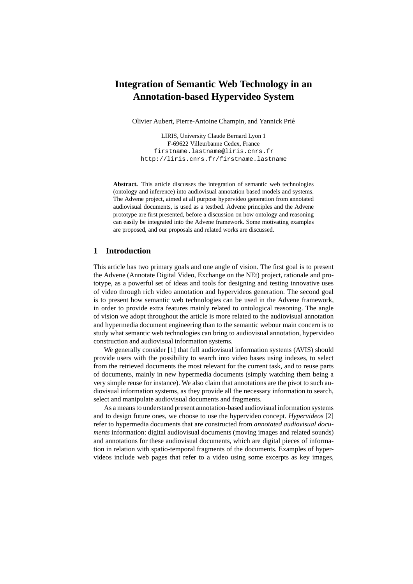# **Integration of Semantic Web Technology in an Annotation-based Hypervideo System**

Olivier Aubert, Pierre-Antoine Champin, and Yannick Prié

LIRIS, University Claude Bernard Lyon 1 F-69622 Villeurbanne Cedex, France firstname.lastname@liris.cnrs.fr http://liris.cnrs.fr/firstname.lastname

**Abstract.** This article discusses the integration of semantic web technologies (ontology and inference) into audiovisual annotation based models and systems. The Advene project, aimed at all purpose hypervideo generation from annotated audiovisual documents, is used as a testbed. Advene principles and the Advene prototype are first presented, before a discussion on how ontology and reasoning can easily be integrated into the Advene framework. Some motivating examples are proposed, and our proposals and related works are discussed.

## **1 Introduction**

This article has two primary goals and one angle of vision. The first goal is to present the Advene (Annotate Digital Video, Exchange on the NEt) project, rationale and prototype, as a powerful set of ideas and tools for designing and testing innovative uses of video through rich video annotation and hypervideos generation. The second goal is to present how semantic web technologies can be used in the Advene framework, in order to provide extra features mainly related to ontological reasoning. The angle of vision we adopt throughout the article is more related to the audiovisual annotation and hypermedia document engineering than to the semantic webour main concern is to study what semantic web technologies can bring to audiovisual annotation, hypervideo construction and audiovisual information systems.

We generally consider [1] that full audiovisual information systems (AVIS) should provide users with the possibility to search into video bases using indexes, to select from the retrieved documents the most relevant for the current task, and to reuse parts of documents, mainly in new hypermedia documents (simply watching them being a very simple reuse for instance). We also claim that annotations are the pivot to such audiovisual information systems, as they provide all the necessary information to search, select and manipulate audiovisual documents and fragments.

As a means to understand present annotation-based audiovisual information systems and to design future ones, we choose to use the hypervideo concept. *Hypervideos* [2] refer to hypermedia documents that are constructed from *annotated audiovisual documents* information: digital audiovisual documents (moving images and related sounds) and annotations for these audiovisual documents, which are digital pieces of information in relation with spatio-temporal fragments of the documents. Examples of hypervideos include web pages that refer to a video using some excerpts as key images,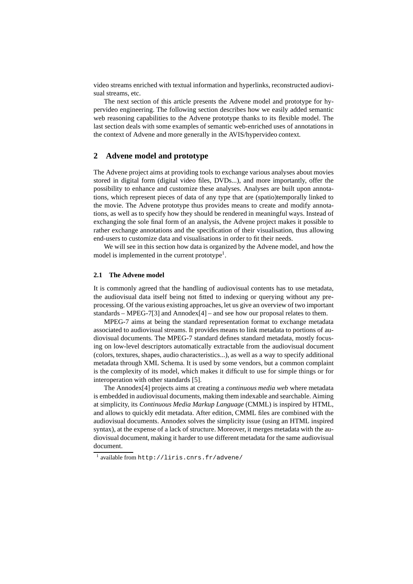video streams enriched with textual information and hyperlinks, reconstructed audiovisual streams, etc.

The next section of this article presents the Advene model and prototype for hypervideo engineering. The following section describes how we easily added semantic web reasoning capabilities to the Advene prototype thanks to its flexible model. The last section deals with some examples of semantic web-enriched uses of annotations in the context of Advene and more generally in the AVIS/hypervideo context.

## **2 Advene model and prototype**

The Advene project aims at providing tools to exchange various analyses about movies stored in digital form (digital video files, DVDs...), and more importantly, offer the possibility to enhance and customize these analyses. Analyses are built upon annotations, which represent pieces of data of any type that are (spatio)temporally linked to the movie. The Advene prototype thus provides means to create and modify annotations, as well as to specify how they should be rendered in meaningful ways. Instead of exchanging the sole final form of an analysis, the Advene project makes it possible to rather exchange annotations and the specification of their visualisation, thus allowing end-users to customize data and visualisations in order to fit their needs.

We will see in this section how data is organized by the Advene model, and how the model is implemented in the current prototype $<sup>1</sup>$ .</sup>

#### **2.1 The Advene model**

It is commonly agreed that the handling of audiovisual contents has to use metadata, the audiovisual data itself being not fitted to indexing or querying without any preprocessing. Of the various existing approaches, let us give an overview of two important standards – MPEG-7[3] and Annodex[4] – and see how our proposal relates to them.

MPEG-7 aims at being the standard representation format to exchange metadata associated to audiovisual streams. It provides means to link metadata to portions of audiovisual documents. The MPEG-7 standard defines standard metadata, mostly focusing on low-level descriptors automatically extractable from the audiovisual document (colors, textures, shapes, audio characteristics...), as well as a way to specify additional metadata through XML Schema. It is used by some vendors, but a common complaint is the complexity of its model, which makes it difficult to use for simple things or for interoperation with other standards [5].

The Annodex[4] projects aims at creating a *continuous media web* where metadata is embedded in audiovisual documents, making them indexable and searchable. Aiming at simplicity, its *Continuous Media Markup Language* (CMML) is inspired by HTML, and allows to quickly edit metadata. After edition, CMML files are combined with the audiovisual documents. Annodex solves the simplicity issue (using an HTML inspired syntax), at the expense of a lack of structure. Moreover, it merges metadata with the audiovisual document, making it harder to use different metadata for the same audiovisual document.

<sup>1</sup> available from http://liris.cnrs.fr/advene/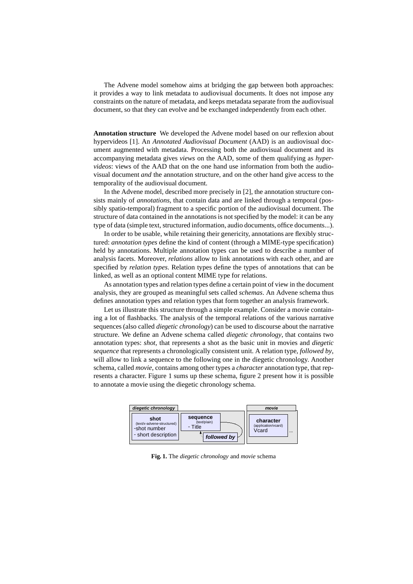The Advene model somehow aims at bridging the gap between both approaches: it provides a way to link metadata to audiovisual documents. It does not impose any constraints on the nature of metadata, and keeps metadata separate from the audiovisual document, so that they can evolve and be exchanged independently from each other.

**Annotation structure** We developed the Advene model based on our reflexion about hypervideos [1]. An *Annotated Audiovisual Document* (AAD) is an audiovisual document augmented with metadata. Processing both the audiovisual document and its accompanying metadata gives *views* on the AAD, some of them qualifying as *hypervideos*: views of the AAD that on the one hand use information from both the audiovisual document *and* the annotation structure, and on the other hand give access to the temporality of the audiovisual document.

In the Advene model, described more precisely in [2], the annotation structure consists mainly of *annotations*, that contain data and are linked through a temporal (possibly spatio-temporal) fragment to a specific portion of the audiovisual document. The structure of data contained in the annotations is not specified by the model: it can be any type of data (simple text, structured information, audio documents, office documents...).

In order to be usable, while retaining their genericity, annotations are flexibly structured: *annotation types* define the kind of content (through a MIME-type specification) held by annotations. Multiple annotation types can be used to describe a number of analysis facets. Moreover, *relations* allow to link annotations with each other, and are specified by *relation types*. Relation types define the types of annotations that can be linked, as well as an optional content MIME type for relations.

As annotation types and relation types define a certain point of view in the document analysis, they are grouped as meaningful sets called *schemas*. An Advene schema thus defines annotation types and relation types that form together an analysis framework.

Let us illustrate this structure through a simple example. Consider a movie containing a lot of flashbacks. The analysis of the temporal relations of the various narrative sequences (also called *diegetic chronology*) can be used to discourse about the narrative structure. We define an Advene schema called *diegetic chronology*, that contains two annotation types: *shot*, that represents a shot as the basic unit in movies and *diegetic sequence* that represents a chronologically consistent unit. A relation type, *followed by*, will allow to link a sequence to the following one in the diegetic chronology. Another schema, called *movie*, contains among other types a *character* annotation type, that represents a character. Figure 1 sums up these schema, figure 2 present how it is possible to annotate a movie using the diegetic chronology schema.



**Fig. 1.** The *diegetic chronology* and *movie* schema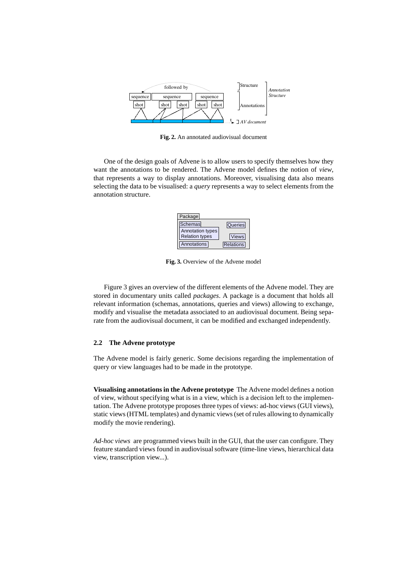

**Fig. 2.** An annotated audiovisual document

One of the design goals of Advene is to allow users to specify themselves how they want the annotations to be rendered. The Advene model defines the notion of *view*, that represents a way to display annotations. Moreover, visualising data also means selecting the data to be visualised: a *query* represents a way to select elements from the annotation structure.



**Fig. 3.** Overview of the Advene model

Figure 3 gives an overview of the different elements of the Advene model. They are stored in documentary units called *packages*. A package is a document that holds all relevant information (schemas, annotations, queries and views) allowing to exchange, modify and visualise the metadata associated to an audiovisual document. Being separate from the audiovisual document, it can be modified and exchanged independently.

#### **2.2 The Advene prototype**

The Advene model is fairly generic. Some decisions regarding the implementation of query or view languages had to be made in the prototype.

**Visualising annotations in the Advene prototype** The Advene model defines a notion of view, without specifying what is in a view, which is a decision left to the implementation. The Advene prototype proposes three types of views: ad-hoc views (GUI views), static views (HTML templates) and dynamic views (set of rules allowing to dynamically modify the movie rendering).

*Ad-hoc views* are programmed views built in the GUI, that the user can configure. They feature standard views found in audiovisual software (time-line views, hierarchical data view, transcription view...).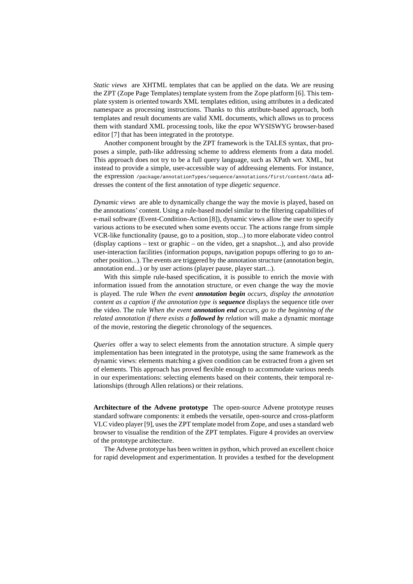*Static views* are XHTML templates that can be applied on the data. We are reusing the ZPT (Zope Page Templates) template system from the Zope platform [6]. This template system is oriented towards XML templates edition, using attributes in a dedicated namespace as processing instructions. Thanks to this attribute-based approach, both templates and result documents are valid XML documents, which allows us to process them with standard XML processing tools, like the *epoz* WYSISWYG browser-based editor [7] that has been integrated in the prototype.

Another component brought by the ZPT framework is the TALES syntax, that proposes a simple, path-like addressing scheme to address elements from a data model. This approach does not try to be a full query language, such as XPath wrt. XML, but instead to provide a simple, user-accessible way of addressing elements. For instance, the expression /package/annotationTypes/sequence/annotations/first/content/data addresses the content of the first annotation of type *diegetic sequence*.

*Dynamic views* are able to dynamically change the way the movie is played, based on the annotations' content. Using a rule-based model similar to the filtering capabilities of e-mail software (Event-Condition-Action [8]), dynamic views allow the user to specify various actions to be executed when some events occur. The actions range from simple VCR-like functionality (pause, go to a position, stop...) to more elaborate video control (display captions – text or graphic – on the video, get a snapshot...), and also provide user-interaction facilities (information popups, navigation popups offering to go to another position...). The events are triggered by the annotation structure (annotation begin, annotation end...) or by user actions (player pause, player start...).

With this simple rule-based specification, it is possible to enrich the movie with information issued from the annotation structure, or even change the way the movie is played. The rule *When the event annotation begin occurs, display the annotation content as a caption if the annotation type is sequence* displays the sequence title over the video. The rule *When the event annotation end occurs, go to the beginning of the related annotation if there exists a followed by relation* will make a dynamic montage of the movie, restoring the diegetic chronology of the sequences.

*Queries* offer a way to select elements from the annotation structure. A simple query implementation has been integrated in the prototype, using the same framework as the dynamic views: elements matching a given condition can be extracted from a given set of elements. This approach has proved flexible enough to accommodate various needs in our experimentations: selecting elements based on their contents, their temporal relationships (through Allen relations) or their relations.

**Architecture of the Advene prototype** The open-source Advene prototype reuses standard software components: it embeds the versatile, open-source and cross-platform VLC video player [9], uses the ZPT template model from Zope, and uses a standard web browser to visualise the rendition of the ZPT templates. Figure 4 provides an overview of the prototype architecture.

The Advene prototype has been written in python, which proved an excellent choice for rapid development and experimentation. It provides a testbed for the development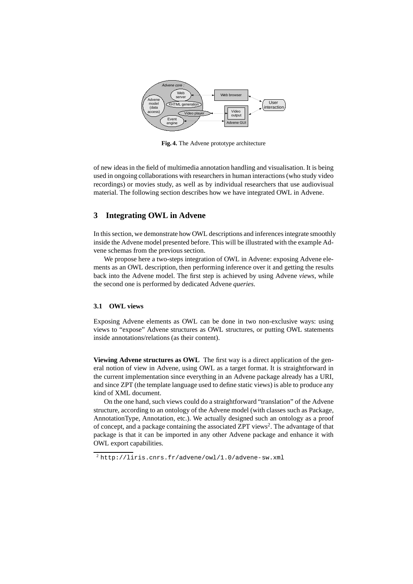

**Fig. 4.** The Advene prototype architecture

of new ideas in the field of multimedia annotation handling and visualisation. It is being used in ongoing collaborations with researchers in human interactions (who study video recordings) or movies study, as well as by individual researchers that use audiovisual material. The following section describes how we have integrated OWL in Advene.

# **3 Integrating OWL in Advene**

In this section, we demonstrate how OWL descriptions and inferences integrate smoothly inside the Advene model presented before. This will be illustrated with the example Advene schemas from the previous section.

We propose here a two-steps integration of OWL in Advene: exposing Advene elements as an OWL description, then performing inference over it and getting the results back into the Advene model. The first step is achieved by using Advene *views*, while the second one is performed by dedicated Advene *queries*.

#### **3.1 OWL views**

Exposing Advene elements as OWL can be done in two non-exclusive ways: using views to "expose" Advene structures as OWL structures, or putting OWL statements inside annotations/relations (as their content).

**Viewing Advene structures as OWL** The first way is a direct application of the general notion of view in Advene, using OWL as a target format. It is straightforward in the current implementation since everything in an Advene package already has a URI, and since ZPT (the template language used to define static views) is able to produce any kind of XML document.

On the one hand, such views could do a straightforward "translation" of the Advene structure, according to an ontology of the Advene model (with classes such as Package, AnnotationType, Annotation, etc.). We actually designed such an ontology as a proof of concept, and a package containing the associated ZPT views<sup>2</sup>. The advantage of that package is that it can be imported in any other Advene package and enhance it with OWL export capabilities.

 $^{2}$ http://liris.cnrs.fr/advene/owl/1.0/advene-sw.xml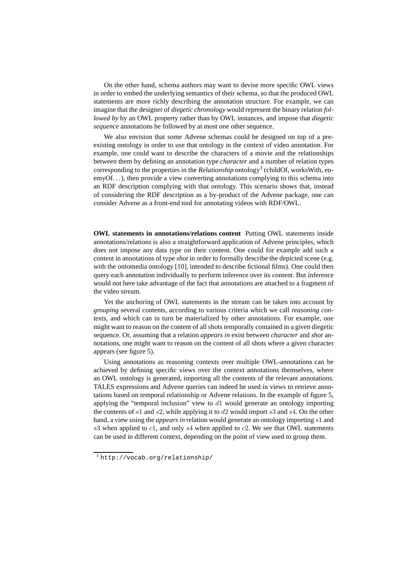On the other hand, schema authors may want to devise more specific OWL views in order to embed the underlying semantics of their schema, so that the produced OWL statements are more richly describing the annotation structure. For example, we can imagine that the designer of *diegetic chronology* would represent the binary relation *followed by* by an OWL property rather than by OWL instances, and impose that *diegetic sequence* annotations be followed by at most one other sequence.

We also envision that some Advene schemas could be designed on top of a preexisting ontology in order to use that ontology in the context of video annotation. For example, one could want to describe the characters of a movie and the relationships between them by defining an annotation type *character* and a number of relation types corresponding to the properties in the *Relationship* ontology<sup>3</sup> (childOf, worksWith, enemyOf...), then provide a view converting annotations complying to this schema into an RDF description complying with that ontology. This scenario shows that, instead of considering the RDF description as a by-product of the Advene package, one can consider Advene as a front-end tool for annotating videos with RDF/OWL.

**OWL statements in annotations/relations content** Putting OWL statements inside annotations/relations is also a straightforward application of Advene principles, which does not impose any data type on their content. One could for example add such a content in annotations of type *shot* in order to formally describe the depicted scene (e.g. with the ontomedia ontology [10], intended to describe fictional films). One could then query each annotation individually to perform inference over its content. But inference would not here take advantage of the fact that annotations are attached to a fragment of the video stream.

Yet the anchoring of OWL statements in the stream can be taken into account by *grouping* several contents, according to various criteria which we call *reasoning contexts*, and which can in turn be materialized by other annotations. For example, one might want to reason on the content of all shots temporally contained in a given diegetic sequence. Or, assuming that a relation *appears in* exist between *character* and *shot* annotations, one might want to reason on the content of all shots where a given character appears (see figure 5).

Using annotations as reasoning contexts over multiple OWL-annotations can be achieved by defining specific views over the context annotations themselves, where an OWL ontology is generated, importing all the contents of the relevant annotations. TALES expressions and Advene queries can indeed be used in views to retrieve annotations based on temporal relationship or Advene relations. In the example of figure 5, applying the "temporal inclusion" view to  $d1$  would generate an ontology importing the contents of  $s1$  and  $s2$ , while applying it to  $d2$  would import  $s3$  and  $s4$ . On the other hand, a view using the *appears in* relation would generate an ontology importing s1 and  $s3$  when applied to  $c1$ , and only  $s4$  when applied to  $c2$ . We see that OWL statements can be used in different context, depending on the point of view used to group them.

<sup>3</sup> http://vocab.org/relationship/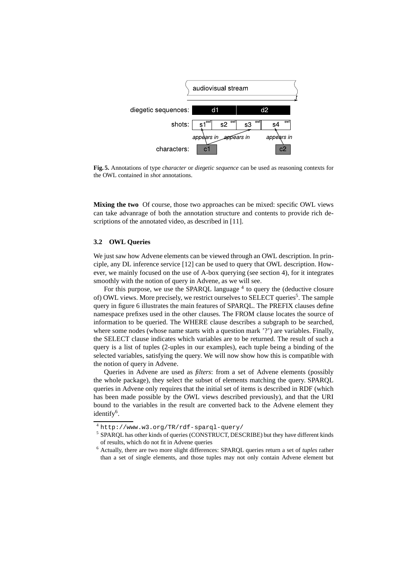

**Fig. 5.** Annotations of type *character* or *diegetic sequence* can be used as reasoning contexts for the OWL contained in *shot* annotations.

**Mixing the two** Of course, those two approaches can be mixed: specific OWL views can take advanrage of both the annotation structure and contents to provide rich descriptions of the annotated video, as described in [11].

## **3.2 OWL Queries**

We just saw how Advene elements can be viewed through an OWL description. In principle, any DL inference service [12] can be used to query that OWL description. However, we mainly focused on the use of A-box querying (see section 4), for it integrates smoothly with the notion of query in Advene, as we will see.

For this purpose, we use the SPARQL language <sup>4</sup> to query the (deductive closure of) OWL views. More precisely, we restrict ourselves to SELECT queries<sup>5</sup>. The sample query in figure 6 illustrates the main features of SPARQL. The PREFIX clauses define namespace prefixes used in the other clauses. The FROM clause locates the source of information to be queried. The WHERE clause describes a subgraph to be searched, where some nodes (whose name starts with a question mark '?') are variables. Finally, the SELECT clause indicates which variables are to be returned. The result of such a query is a list of tuples (2-uples in our examples), each tuple being a binding of the selected variables, satisfying the query. We will now show how this is compatible with the notion of query in Advene.

Queries in Advene are used as *filters*: from a set of Advene elements (possibly the whole package), they select the subset of elements matching the query. SPARQL queries in Advene only requires that the initial set of items is described in RDF (which has been made possible by the OWL views described previously), and that the URI bound to the variables in the result are converted back to the Advene element they identify<sup>6</sup>.

<sup>4</sup> http://www.w3.org/TR/rdf-sparql-query/

<sup>&</sup>lt;sup>5</sup> SPARQL has other kinds of queries (CONSTRUCT, DESCRIBE) but they have different kinds of results, which do not fit in Advene queries

<sup>6</sup> Actually, there are two more slight differences: SPARQL queries return a set of *tuples* rather than a set of single elements, and those tuples may not only contain Advene element but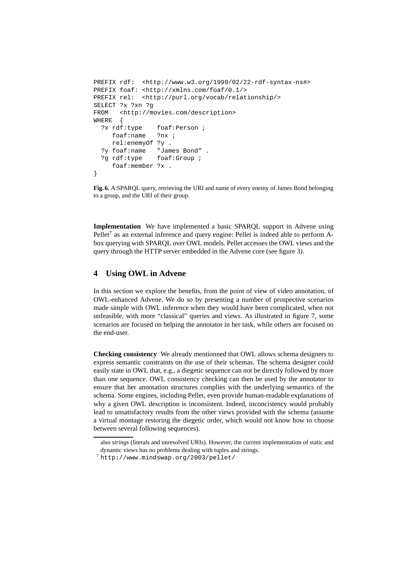```
PREFIX rdf: <http://www.w3.org/1999/02/22-rdf-syntax-ns#>
PREFIX foaf: <http://xmlns.com/foaf/0.1/>
PREFIX rel: <http://purl.org/vocab/relationship/>
SELECT ?x ?xn ?g
FROM <http://movies.com/description>
WHERE {
  ?x rdf:type foaf:Person ;
    foaf:name ?nx ;
    rel:enemyOf ?y .
  ?y foaf:name "James Bond" .
  ?g rdf:type foaf:Group ;
    foaf:member ?x .
}
```
**Fig. 6.** A SPARQL query, retrieving the URI and name of every enemy of James Bond belonging to a group, and the URI of their group.

**Implementation** We have implemented a basic SPARQL support in Advene using Pellet<sup>7</sup> as an external inference and query engine: Pellet is indeed able to perform Abox querying with SPARQL over OWL models. Pellet accesses the OWL views and the query through the HTTP server embedded in the Advene core (see figure 3).

# **4 Using OWL in Advene**

In this section we explore the benefits, from the point of view of video annotation, of OWL-enhanced Advene. We do so by presenting a number of prospective scenarios made simple with OWL inference when they would have been complicated, when not unfeasible, with more "classical" queries and views. As illustrated in figure 7, some scenarios are focused on helping the annotator in her task, while others are focused on the end-user.

**Checking consistency** We already mentionned that OWL allows schema designers to express semantic constraints on the use of their schemas. The schema designer could easily state in OWL that, e.g., a diegetic sequence can not be directly followed by more than one sequence. OWL consistency checking can then be used by the annotator to ensure that her annotation structures complies with the underlying semantics of the schema. Some engines, including Pellet, even provide human-readable explanations of why a given OWL description is inconsistent. Indeed, inconcistency would probably lead to unsatisfactory results from the other views provided with the schema (assume a virtual montage restoring the diegetic order, which would not know how to choose between several following sequences).

also *strings* (literals and unresolved URIs). However, the current implementation of static and dynamic views has no problems dealing with tuples and strings.

 $7$ http://www.mindswap.org/2003/pellet/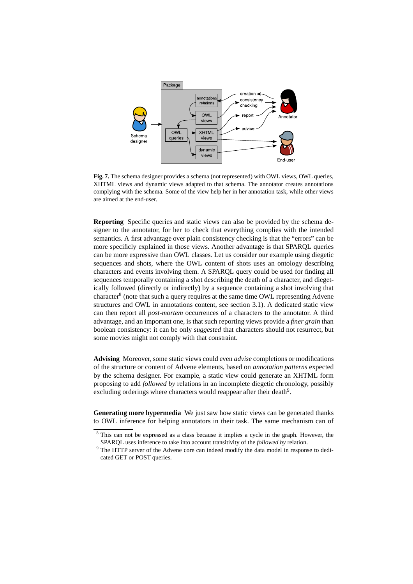

**Fig. 7.** The schema designer provides a schema (not represented) with OWL views, OWL queries, XHTML views and dynamic views adapted to that schema. The annotator creates annotations complying with the schema. Some of the view help her in her annotation task, while other views are aimed at the end-user.

**Reporting** Specific queries and static views can also be provided by the schema designer to the annotator, for her to check that everything complies with the intended semantics. A first advantage over plain consistency checking is that the "errors" can be more specificly explained in those views. Another advantage is that SPARQL queries can be more expressive than OWL classes. Let us consider our example using diegetic sequences and shots, where the OWL content of shots uses an ontology describing characters and events involving them. A SPARQL query could be used for finding all sequences temporally containing a shot describing the death of a character, and diegetically followed (directly or indirectly) by a sequence containing a shot involving that character<sup>8</sup> (note that such a query requires at the same time OWL representing Advene structures and OWL in annotations content, see section 3.1). A dedicated static view can then report all *post-mortem* occurrences of a characters to the annotator. A third advantage, and an important one, is that such reporting views provide a *finer grain* than boolean consistency: it can be only *suggested* that characters should not resurrect, but some movies might not comply with that constraint.

**Advising** Moreover, some static views could even *advise* completions or modifications of the structure or content of Advene elements, based on *annotation patterns* expected by the schema designer. For example, a static view could generate an XHTML form proposing to add *followed by* relations in an incomplete diegetic chronology, possibly excluding orderings where characters would reappear after their death<sup>9</sup>.

**Generating more hypermedia** We just saw how static views can be generated thanks to OWL inference for helping annotators in their task. The same mechanism can of

<sup>8</sup> This can not be expressed as a class because it implies a cycle in the graph. However, the SPARQL uses inference to take into account transitivity of the *followed by* relation.

<sup>&</sup>lt;sup>9</sup> The HTTP server of the Advene core can indeed modify the data model in response to dedicated GET or POST queries.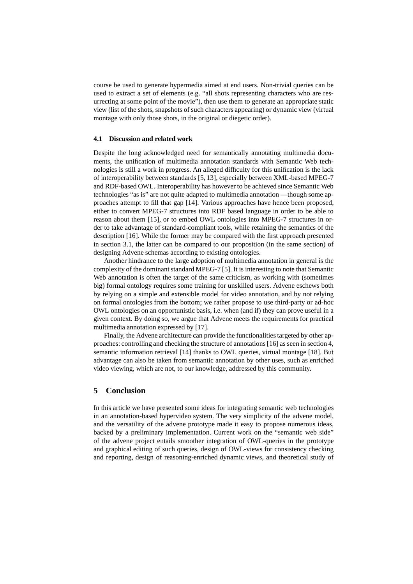course be used to generate hypermedia aimed at end users. Non-trivial queries can be used to extract a set of elements (e.g. "all shots representing characters who are resurrecting at some point of the movie"), then use them to generate an appropriate static view (list of the shots, snapshots of such characters appearing) or dynamic view (virtual montage with only those shots, in the original or diegetic order).

#### **4.1 Discussion and related work**

Despite the long acknowledged need for semantically annotating multimedia documents, the unification of multimedia annotation standards with Semantic Web technologies is still a work in progress. An alleged difficulty for this unification is the lack of interoperability between standards [5, 13], especially between XML-based MPEG-7 and RDF-based OWL. Interoperability has however to be achieved since Semantic Web technologies "as is" are not quite adapted to multimedia annotation —though some approaches attempt to fill that gap [14]. Various approaches have hence been proposed, either to convert MPEG-7 structures into RDF based language in order to be able to reason about them [15], or to embed OWL ontologies into MPEG-7 structures in order to take advantage of standard-compliant tools, while retaining the semantics of the description [16]. While the former may be compared with the first approach presented in section 3.1, the latter can be compared to our proposition (in the same section) of designing Advene schemas according to existing ontologies.

Another hindrance to the large adoption of multimedia annotation in general is the complexity of the dominant standard MPEG-7 [5]. It is interesting to note that Semantic Web annotation is often the target of the same criticism, as working with (sometimes big) formal ontology requires some training for unskilled users. Advene eschews both by relying on a simple and extensible model for video annotation, and by not relying on formal ontologies from the bottom; we rather propose to use third-party or ad-hoc OWL ontologies on an opportunistic basis, i.e. when (and if) they can prove useful in a given context. By doing so, we argue that Advene meets the requirements for practical multimedia annotation expressed by [17].

Finally, the Advene architecture can provide the functionalities targeted by other approaches: controlling and checking the structure of annotations [16] as seen in section 4, semantic information retrieval [14] thanks to OWL queries, virtual montage [18]. But advantage can also be taken from semantic annotation by other uses, such as enriched video viewing, which are not, to our knowledge, addressed by this community.

# **5 Conclusion**

In this article we have presented some ideas for integrating semantic web technologies in an annotation-based hypervideo system. The very simplicity of the advene model, and the versatility of the advene prototype made it easy to propose numerous ideas, backed by a preliminary implementation. Current work on the "semantic web side" of the advene project entails smoother integration of OWL-queries in the prototype and graphical editing of such queries, design of OWL-views for consistency checking and reporting, design of reasoning-enriched dynamic views, and theoretical study of